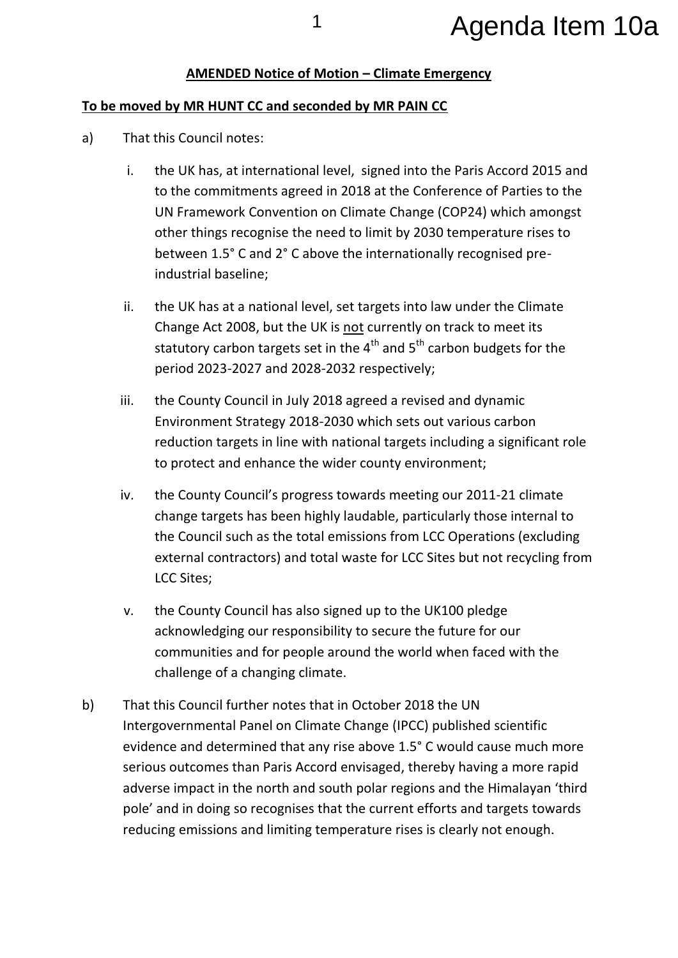## <sup>1</sup> Agenda Item 10a

## **AMENDED Notice of Motion – Climate Emergency**

## **To be moved by MR HUNT CC and seconded by MR PAIN CC**

- a) That this Council notes:
	- i. the UK has, at international level, signed into the Paris Accord 2015 and to the commitments agreed in 2018 at the Conference of Parties to the UN Framework Convention on Climate Change (COP24) which amongst other things recognise the need to limit by 2030 temperature rises to between 1.5° C and 2° C above the internationally recognised preindustrial baseline;
	- ii. the UK has at a national level, set targets into law under the Climate Change Act 2008, but the UK is not currently on track to meet its statutory carbon targets set in the  $4<sup>th</sup>$  and  $5<sup>th</sup>$  carbon budgets for the period 2023-2027 and 2028-2032 respectively;
	- iii. the County Council in July 2018 agreed a revised and dynamic Environment Strategy 2018-2030 which sets out various carbon reduction targets in line with national targets including a significant role to protect and enhance the wider county environment;
	- iv. the County Council's progress towards meeting our 2011-21 climate change targets has been highly laudable, particularly those internal to the Council such as the total emissions from LCC Operations (excluding external contractors) and total waste for LCC Sites but not recycling from LCC Sites;
	- v. the County Council has also signed up to the UK100 pledge acknowledging our responsibility to secure the future for our communities and for people around the world when faced with the challenge of a changing climate.
- b) That this Council further notes that in October 2018 the UN Intergovernmental Panel on Climate Change (IPCC) published scientific evidence and determined that any rise above 1.5° C would cause much more serious outcomes than Paris Accord envisaged, thereby having a more rapid adverse impact in the north and south polar regions and the Himalayan 'third pole' and in doing so recognises that the current efforts and targets towards reducing emissions and limiting temperature rises is clearly not enough.